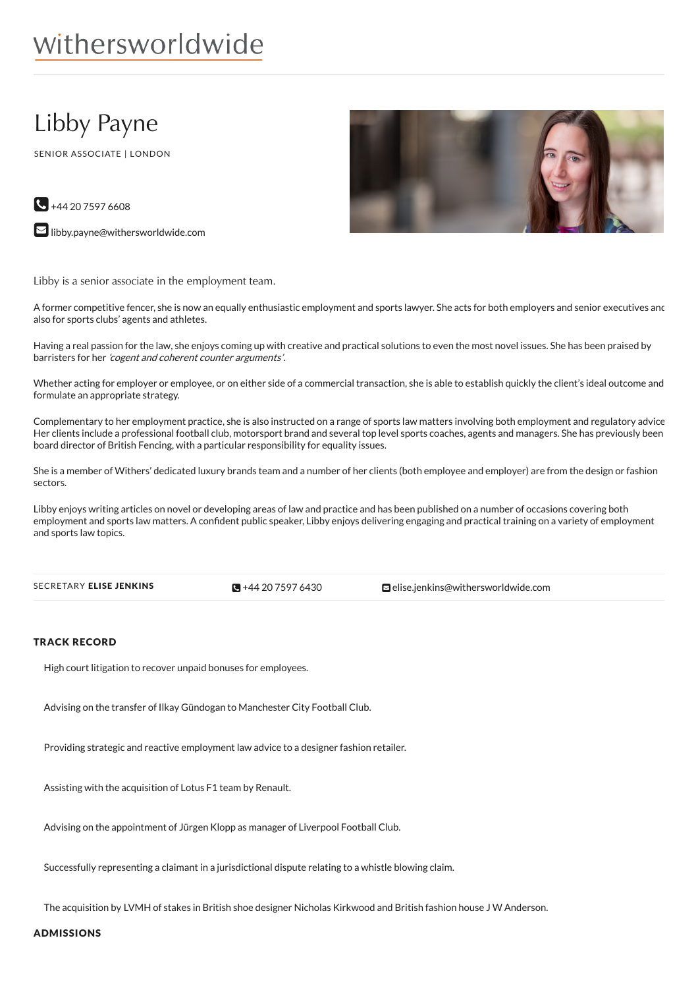# withersworldwide

# Libby Payne

SENIOR ASSOCIATE | LONDON



 $\bigodot$  +44 20 7597 6608

 $\square$  [libby.payne@withersworldwide.com](mailto:libby.payne@withersworldwide.com?subject=Website Enquiry - Profile Page)

Libby is a senior associate in the employment team.

A former competitive fencer, she is now an equally enthusiastic employment and sports lawyer. She acts for both employers and senior executives and also for sports clubs' agents and athletes.

Having a real passion for the law, she enjoys coming up with creative and practical solutions to even the most novel issues. She has been praised by barristers for her 'cogent and coherent counter arguments'.

Whether acting for employer or employee, or on either side of a commercial transaction, she is able to establish quickly the client's ideal outcome and formulate an appropriate strategy.

Complementary to her employment practice, she is also instructed on a range of sports law matters involving both employment and regulatory advice. Her clients include a professional football club, motorsport brand and several top level sports coaches, agents and managers. She has previously been board director of British Fencing, with a particular responsibility for equality issues.

She is a member of Withers' dedicated luxury brands team and a number of her clients (both employee and employer) are from the design or fashion sectors.

Libby enjoys writing articles on novel or developing areas of law and practice and has been published on a number of occasions covering both employment and sports law matters. A confident public speaker, Libby enjoys delivering engaging and practical training on a variety of employment and sports law topics.

 $\mathbb{R}$  +44 20 75 97 6430

SECRETARY ELISE JENKINS **and Secretary 1997 6430** [elise.jenkins@withersworldwide.com](mailto:elise.jenkins@withersworldwide.com)

#### TRACK RECORD

High court litigation to recover unpaid bonuses for employees.

Advising on the transfer of Ilkay Gündogan to Manchester City Football Club.

Providing strategic and reactive employment law advice to a designer fashion retailer.

Assisting with the acquisition of Lotus F1 team by Renault.

Advising on the appointment of Jürgen Klopp as manager of Liverpool Football Club.

Successfully representing a claimant in a jurisdictional dispute relating to a whistle blowing claim.

The acquisition by LVMH of stakes in British shoe designer Nicholas Kirkwood and British fashion house J W Anderson.